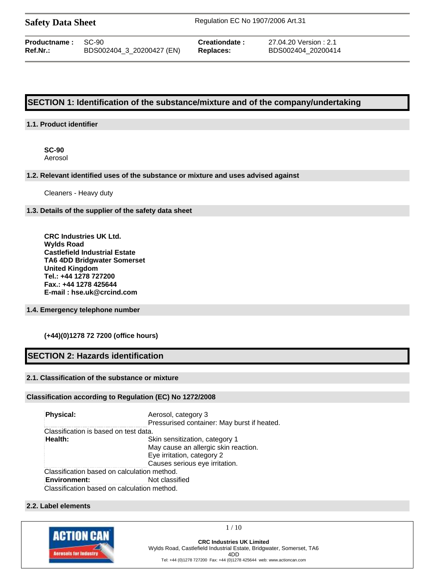| <b>Safety Data Sheet</b> |  |  |
|--------------------------|--|--|
|--------------------------|--|--|

**Safety Data Sheet** Regulation EC No 1907/2006 Art.31

| <b>Productname: SC-90</b> |                           | Cr |
|---------------------------|---------------------------|----|
| Ref.Nr.:                  | BDS002404_3_20200427 (EN) | Re |

**Production Carecter :** 27.04.20 Version : 2.1 **Ref.Nr.:** BDS002404\_3\_20200427 (EN) **Replaces:** BDS002404\_20200414

# **SECTION 1: Identification of the substance/mixture and of the company/undertaking**

## **1.1. Product identifier**

**SC-90** Aerosol

## **1.2. Relevant identified uses of the substance or mixture and uses advised against**

Cleaners - Heavy duty

### **1.3. Details of the supplier of the safety data sheet**

**CRC Industries UK Ltd. Wylds Road Castlefield Industrial Estate TA6 4DD Bridgwater Somerset United Kingdom Tel.: +44 1278 727200 Fax.: +44 1278 425644 E-mail : hse.uk@crcind.com**

## **1.4. Emergency telephone number**

## **(+44)(0)1278 72 7200 (office hours)**

# **SECTION 2: Hazards identification**

# **2.1. Classification of the substance or mixture**

## **Classification according to Regulation (EC) No 1272/2008**

| Physical:                                   | Aerosol, category 3<br>Pressurised container: May burst if heated. |
|---------------------------------------------|--------------------------------------------------------------------|
| Classification is based on test data.       |                                                                    |
| Health:                                     | Skin sensitization, category 1                                     |
|                                             | May cause an allergic skin reaction.                               |
|                                             | Eye irritation, category 2                                         |
|                                             | Causes serious eye irritation.                                     |
| Classification based on calculation method. |                                                                    |
| <b>Environment:</b>                         | Not classified                                                     |
| Classification based on calculation method. |                                                                    |

#### **2.2. Label elements**

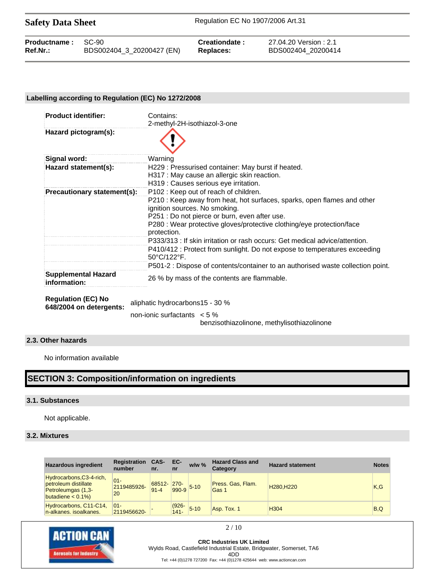Safety Data Sheet Regulation EC No 1907/2006 Art.31

| <b>Productname: SC-90</b> |                           | Creationdate: | 27.04.20 Version : 2.1 |
|---------------------------|---------------------------|---------------|------------------------|
| Ref.Nr.:                  | BDS002404_3_20200427 (EN) | Replaces:     | BDS002404 20200414     |

## **Labelling according to Regulation (EC) No 1272/2008**

| <b>Product identifier:</b>                           | Contains:                                                                                                |
|------------------------------------------------------|----------------------------------------------------------------------------------------------------------|
|                                                      | 2-methyl-2H-isothiazol-3-one                                                                             |
| Hazard pictogram(s):                                 |                                                                                                          |
| Signal word:                                         | Warning                                                                                                  |
| Hazard statement(s):                                 | H229: Pressurised container: May burst if heated.                                                        |
|                                                      | H317 : May cause an allergic skin reaction.                                                              |
|                                                      | H319 : Causes serious eye irritation.                                                                    |
| Precautionary statement(s):                          | P102: Keep out of reach of children.                                                                     |
|                                                      | P210 : Keep away from heat, hot surfaces, sparks, open flames and other<br>ignition sources. No smoking. |
|                                                      | P251 : Do not pierce or burn, even after use.                                                            |
|                                                      | P280 : Wear protective gloves/protective clothing/eye protection/face<br>protection.                     |
|                                                      | P333/313 : If skin irritation or rash occurs: Get medical advice/attention.                              |
|                                                      | P410/412 : Protect from sunlight. Do not expose to temperatures exceeding<br>50°C/122°F.                 |
|                                                      | P501-2 : Dispose of contents/container to an authorised waste collection point.                          |
| <b>Supplemental Hazard</b><br>information:           | 26 % by mass of the contents are flammable.                                                              |
| <b>Regulation (EC) No</b><br>648/2004 on detergents: | aliphatic hydrocarbons15 - 30 %                                                                          |
|                                                      | non-ionic surfactants $\lt 5\%$                                                                          |

benzisothiazolinone, methylisothiazolinone

# **2.3. Other hazards**

No information available

# **SECTION 3: Composition/information on ingredients**

#### **3.1. Substances**

Not applicable.

## **3.2. Mixtures**

| <b>Hazardous ingredient</b>                                                                     | <b>Registration</b><br>number | CAS-<br>nr.        | EC-<br>nr           | $w/w$ %        | <b>Hazard Class and</b><br>Category | <b>Hazard statement</b>            | <b>Notes</b> |
|-------------------------------------------------------------------------------------------------|-------------------------------|--------------------|---------------------|----------------|-------------------------------------|------------------------------------|--------------|
| Hydrocarbons, C3-4-rich,<br>petroleum distillate<br>Petroleumgas (1,3-<br>butadiene $< 0.1\%$ ) | $01 -$<br>2119485926-<br>20   | 68512-<br>$91 - 4$ | $270 -$             | $990-9$ $5-10$ | Press. Gas. Flam.<br>Gas 1          | H <sub>280</sub> .H <sub>220</sub> | K.G          |
| Hydrocarbons, C11-C14,<br>n-alkanes, isoalkanes.                                                | $01 -$<br>2119456620-         |                    | $(926 -$<br>$141 -$ | $5 - 10$       | Asp. Tox. 1                         | H304                               | B,Q          |



**CRC Industries UK Limited** Wylds Road, Castlefield Industrial Estate, Bridgwater, Somerset, TA6 4DD Tel: +44 (0)1278 727200 Fax: +44 (0)1278 425644 web: www.actioncan.com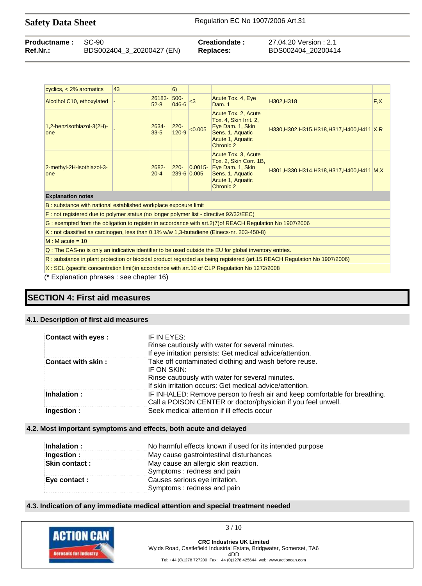| <b>Productname: SC-90</b> |                           | Creationdate:    | 27.04.20 Version : 2.1 |
|---------------------------|---------------------------|------------------|------------------------|
| Ref.Nr.:                  | BDS002404_3_20200427 (EN) | <b>Replaces:</b> | BDS002404 20200414     |

| cyclics, $<$ 2% aromatics                                                                                                | 43 |                    | 6)                   |                            |                                                                                                                        |                                               |      |
|--------------------------------------------------------------------------------------------------------------------------|----|--------------------|----------------------|----------------------------|------------------------------------------------------------------------------------------------------------------------|-----------------------------------------------|------|
| Alcolhol C10, ethoxylated                                                                                                |    | 26183-<br>$52 - 8$ | 500-<br>046-6        | $3$                        | Acute Tox. 4, Eye<br>Dam. 1                                                                                            | H302, H318                                    | F, X |
| 1,2-benzisothiazol-3(2H)-<br>one                                                                                         |    | 2634-<br>$33 - 5$  | $220 -$<br>$120 - 9$ | < 0.005                    | Acute Tox. 2, Acute<br>Tox. 4, Skin Irrit. 2,<br>Eye Dam. 1, Skin<br>Sens. 1, Aquatic<br>Acute 1, Aquatic<br>Chronic 2 | H330, H302, H315, H318, H317, H400, H411 X, R |      |
| 2-methyl-2H-isothiazol-3-<br>one                                                                                         |    | 2682-<br>$20 - 4$  | $220 -$              | $ 0.0015 -$<br>239-6 0.005 | Acute Tox. 3, Acute<br>Tox. 2, Skin Corr. 1B,<br>Eye Dam. 1, Skin<br>Sens. 1, Aquatic<br>Acute 1, Aquatic<br>Chronic 2 | H301, H330, H314, H318, H317, H400, H411 M, X |      |
| <b>Explanation notes</b>                                                                                                 |    |                    |                      |                            |                                                                                                                        |                                               |      |
| B: substance with national established workplace exposure limit                                                          |    |                    |                      |                            |                                                                                                                        |                                               |      |
| F: not registered due to polymer status (no longer polymer list - directive 92/32/EEC)                                   |    |                    |                      |                            |                                                                                                                        |                                               |      |
| G: exempted from the obligation to register in accordance with art.2(7) of REACH Regulation No 1907/2006                 |    |                    |                      |                            |                                                                                                                        |                                               |      |
| K: not classified as carcinogen, less than 0.1% w/w 1,3-butadiene (Einecs-nr. 203-450-8)                                 |    |                    |                      |                            |                                                                                                                        |                                               |      |
| $M : M$ acute = 10                                                                                                       |    |                    |                      |                            |                                                                                                                        |                                               |      |
| Q: The CAS-no is only an indicative identifier to be used outside the EU for global inventory entries.                   |    |                    |                      |                            |                                                                                                                        |                                               |      |
| R: substance in plant protection or biocidal product regarded as being registered (art.15 REACH Regulation No 1907/2006) |    |                    |                      |                            |                                                                                                                        |                                               |      |

X : SCL (specific concentration limit)in accordance with art.10 of CLP Regulation No 1272/2008

(\* Explanation phrases : see chapter 16)

# **SECTION 4: First aid measures**

#### **4.1. Description of first aid measures**

| Contact with eyes :    | IF IN EYES:<br>Rinse cautiously with water for several minutes.<br>If eye irritation persists: Get medical advice/attention.                                                         |
|------------------------|--------------------------------------------------------------------------------------------------------------------------------------------------------------------------------------|
| Contact with skin:     | Take off contaminated clothing and wash before reuse.<br>IF ON SKIN:<br>Rinse cautiously with water for several minutes.<br>If skin irritation occurs: Get medical advice/attention. |
| $\mathsf{Inhalation:}$ | IF INHALED: Remove person to fresh air and keep comfortable for breathing.<br>Call a POISON CENTER or doctor/physician if you feel unwell.                                           |
| Ingestion:             | Seek medical attention if ill effects occur                                                                                                                                          |

# **4.2. Most important symptoms and effects, both acute and delayed**

| Inhalation :         | No harmful effects known if used for its intended purpose          |
|----------------------|--------------------------------------------------------------------|
| Ingestion :          | May cause gastrointestinal disturbances                            |
| <b>Skin contact:</b> | May cause an allergic skin reaction.<br>Symptoms: redness and pain |
| Eye contact :        | Causes serious eye irritation.<br>Symptoms: redness and pain       |

#### **4.3. Indication of any immediate medical attention and special treatment needed**

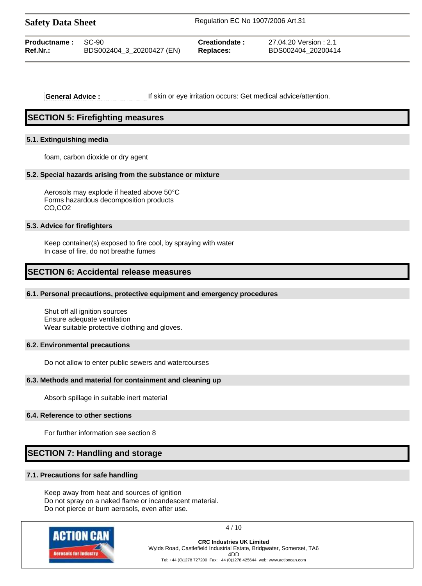| <b>Safety Data Sheet</b>              |                           | Regulation EC No 1907/2006 Art.31 |                                              |  |
|---------------------------------------|---------------------------|-----------------------------------|----------------------------------------------|--|
| <b>Productname: SC-90</b><br>Ref.Nr.: | BDS002404_3_20200427 (EN) | Creationdate:<br>Replaces:        | 27.04.20 Version : 2.1<br>BDS002404 20200414 |  |

**General Advice :** If skin or eye irritation occurs: Get medical advice/attention.

# **SECTION 5: Firefighting measures**

#### **5.1. Extinguishing media**

foam, carbon dioxide or dry agent

#### **5.2. Special hazards arising from the substance or mixture**

Aerosols may explode if heated above 50°C Forms hazardous decomposition products CO,CO2

#### **5.3. Advice for firefighters**

Keep container(s) exposed to fire cool, by spraying with water In case of fire, do not breathe fumes

# **SECTION 6: Accidental release measures**

## **6.1. Personal precautions, protective equipment and emergency procedures**

Shut off all ignition sources Ensure adequate ventilation Wear suitable protective clothing and gloves.

#### **6.2. Environmental precautions**

Do not allow to enter public sewers and watercourses

#### **6.3. Methods and material for containment and cleaning up**

Absorb spillage in suitable inert material

#### **6.4. Reference to other sections**

For further information see section 8

# **SECTION 7: Handling and storage**

## **7.1. Precautions for safe handling**

Keep away from heat and sources of ignition Do not spray on a naked flame or incandescent material. Do not pierce or burn aerosols, even after use.



4 / 10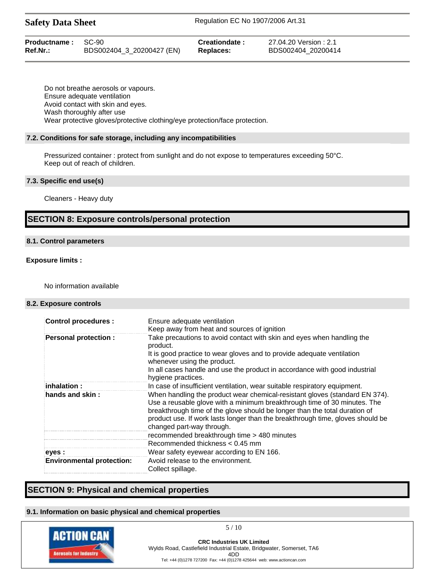| <b>Productname: SC-90</b> |                           | Creationdate: | 27.04.20 Version : 2.1 |
|---------------------------|---------------------------|---------------|------------------------|
| Ref.Nr.:                  | BDS002404_3_20200427 (EN) | Replaces:     | BDS002404 20200414     |

Do not breathe aerosols or vapours. Ensure adequate ventilation Avoid contact with skin and eyes. Wash thoroughly after use Wear protective gloves/protective clothing/eye protection/face protection.

#### **7.2. Conditions for safe storage, including any incompatibilities**

Pressurized container : protect from sunlight and do not expose to temperatures exceeding 50°C. Keep out of reach of children.

### **7.3. Specific end use(s)**

Cleaners - Heavy duty

# **SECTION 8: Exposure controls/personal protection**

## **8.1. Control parameters**

### **Exposure limits :**

No information available

#### **8.2. Exposure controls**

| <b>Control procedures:</b>       | Ensure adequate ventilation<br>Keep away from heat and sources of ignition                                                                                                                                                                                                                                                                                                                          |
|----------------------------------|-----------------------------------------------------------------------------------------------------------------------------------------------------------------------------------------------------------------------------------------------------------------------------------------------------------------------------------------------------------------------------------------------------|
| <b>Personal protection:</b>      | Take precautions to avoid contact with skin and eyes when handling the<br>product.<br>It is good practice to wear gloves and to provide adequate ventilation<br>whenever using the product.<br>In all cases handle and use the product in accordance with good industrial                                                                                                                           |
|                                  | hygiene practices.                                                                                                                                                                                                                                                                                                                                                                                  |
| inhalation :                     | In case of insufficient ventilation, wear suitable respiratory equipment.                                                                                                                                                                                                                                                                                                                           |
| hands and skin:                  | When handling the product wear chemical-resistant gloves (standard EN 374).<br>Use a reusable glove with a minimum breakthrough time of 30 minutes. The<br>breakthrough time of the glove should be longer than the total duration of<br>product use. If work lasts longer than the breakthrough time, gloves should be<br>changed part-way through.<br>recommended breakthrough time > 480 minutes |
|                                  | Recommended thickness $< 0.45$ mm                                                                                                                                                                                                                                                                                                                                                                   |
| eyes :                           | Wear safety eyewear according to EN 166.                                                                                                                                                                                                                                                                                                                                                            |
| <b>Environmental protection:</b> | Avoid release to the environment.<br>Collect spillage.                                                                                                                                                                                                                                                                                                                                              |

# **SECTION 9: Physical and chemical properties**

## **9.1. Information on basic physical and chemical properties**

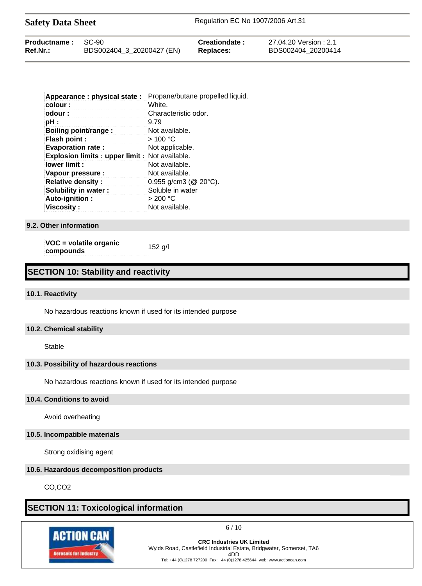| <b>Safety Data Sheet</b>  |  |                | Regulation EC No 1907/2006 Art.31 |  |  |
|---------------------------|--|----------------|-----------------------------------|--|--|
| <b>Productname: SC-90</b> |  | Creationdate : | 27.04.20 Version : 2.1            |  |  |

**Ref.Nr.:** BDS002404\_3\_20200427 (EN) **Replaces:** BDS002404\_20200414

| Appearance: physical state:                     | Propane/butane propelled liquid. |
|-------------------------------------------------|----------------------------------|
| colour:                                         | White.                           |
| odour:                                          | Characteristic odor.             |
| pH :                                            | 9.79                             |
| Boiling point/range :                           | Not available.                   |
| <b>Flash point:</b>                             | >100 °C                          |
| <b>Evaporation rate:</b>                        | Not applicable.                  |
| Explosion limits : upper limit : Not available. |                                  |
| lower limit:                                    | Not available.                   |
| Vapour pressure :                               | Not available.                   |
| <b>Relative density:</b>                        | $0.955$ g/cm3 ( $@$ 20 $°C$ ).   |
| Solubility in water:                            | Soluble in water                 |
| Auto-ignition:                                  | $>200\text{ °C}$                 |
| <b>Viscosity:</b>                               | Not available.                   |

**9.2. Other information**

**VOC = volatile organic compounds** 152 g/l

# **SECTION 10: Stability and reactivity**

## **10.1. Reactivity**

No hazardous reactions known if used for its intended purpose

## **10.2. Chemical stability**

Stable

# **10.3. Possibility of hazardous reactions**

No hazardous reactions known if used for its intended purpose

#### **10.4. Conditions to avoid**

Avoid overheating

## **10.5. Incompatible materials**

Strong oxidising agent

## **10.6. Hazardous decomposition products**

CO,CO2

# **SECTION 11: Toxicological information**



 $6/10$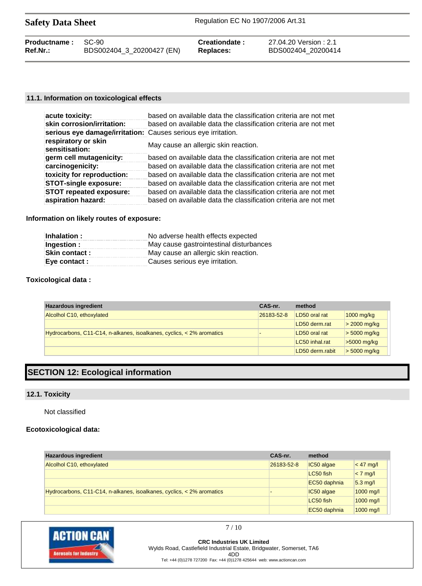| <b>Safety Data Sheet</b> |                           | Regulation EC No 1907/2006 Art.31 |                        |  |
|--------------------------|---------------------------|-----------------------------------|------------------------|--|
| <b>Productname:</b>      | SC-90                     | Creationdate:                     | 27.04.20 Version : 2.1 |  |
| $Ref.Nr.$ :              | BDS002404_3_20200427 (EN) | Replaces:                         | BDS002404 20200414     |  |

## **11.1. Information on toxicological effects**

| acute toxicity:                                               | based on available data the classification criteria are not met |
|---------------------------------------------------------------|-----------------------------------------------------------------|
| skin corrosion/irritation:                                    | based on available data the classification criteria are not met |
| serious eye damage/irritation: Causes serious eye irritation. |                                                                 |
| respiratory or skin<br>sensitisation:                         | May cause an allergic skin reaction.                            |
| germ cell mutagenicity:                                       | based on available data the classification criteria are not met |
| carcinogenicity:                                              | based on available data the classification criteria are not met |
| toxicity for reproduction:                                    | based on available data the classification criteria are not met |
| <b>STOT-single exposure:</b>                                  | based on available data the classification criteria are not met |
| <b>STOT repeated exposure:</b>                                | based on available data the classification criteria are not met |
| aspiration hazard:                                            | based on available data the classification criteria are not met |

## **Information on likely routes of exposure:**

| No adverse health effects expected<br>Inhalation:      |                                      |
|--------------------------------------------------------|--------------------------------------|
| May cause gastrointestinal disturbances<br>Ingestion : |                                      |
| <b>Skin contact:</b>                                   | May cause an allergic skin reaction. |
| Eye contact :                                          | Causes serious eye irritation.       |

## **Toxicological data :**

| <b>Hazardous ingredient</b>                                             | CAS-nr.    | method          |                |
|-------------------------------------------------------------------------|------------|-----------------|----------------|
| Alcolhol C10, ethoxylated                                               | 26183-52-8 | LD50 oral rat   | $1000$ mg/kg   |
|                                                                         |            | LD50 derm.rat   | $>$ 2000 mg/kg |
| Hydrocarbons, C11-C14, n-alkanes, isoalkanes, cyclics, $<$ 2% aromatics |            | LD50 oral rat   | $>$ 5000 mg/kg |
|                                                                         |            | LC50 inhal.rat  | $>5000$ mg/kg  |
|                                                                         |            | LD50 derm.rabit | $>$ 5000 mg/kg |

# **SECTION 12: Ecological information**

## **12.1. Toxicity**

Not classified

# **Ecotoxicological data:**

| <b>Hazardous ingredient</b>                                           | CAS-nr.    | method       |             |
|-----------------------------------------------------------------------|------------|--------------|-------------|
| Alcolhol C10, ethoxylated                                             | 26183-52-8 | IC50 algae   | $< 47$ mg/l |
|                                                                       |            | LC50 fish    | $< 7$ mg/l  |
|                                                                       |            | EC50 daphnia | $5.3$ mg/l  |
| Hydrocarbons, C11-C14, n-alkanes, isoalkanes, cyclics, < 2% aromatics |            | IC50 algae   | $1000$ mg/l |
|                                                                       |            | LC50 fish    | 1000 mg/l   |
|                                                                       |            | EC50 daphnia | 1000 mg/l   |



**CRC Industries UK Limited** Wylds Road, Castlefield Industrial Estate, Bridgwater, Somerset, TA6 4DD Tel: +44 (0)1278 727200 Fax: +44 (0)1278 425644 web: www.actioncan.com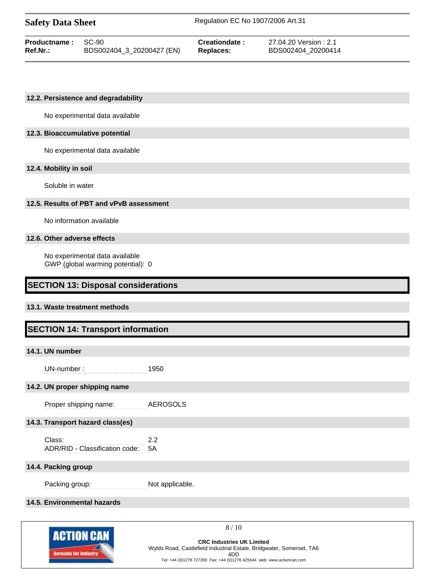| <b>Safety Data Sheet</b> |                           | Regulation EC No 1907/2006 Art.31 |                       |  |
|--------------------------|---------------------------|-----------------------------------|-----------------------|--|
| Productname:             | $SC-90$                   | Creationdate:                     | 27.04.20 Version: 2.1 |  |
| Ref.Nr.:                 | BDS002404_3_20200427 (EN) | Replaces:                         | BDS002404 20200414    |  |

#### **12.2. Persistence and degradability**

No experimental data available

## **12.3. Bioaccumulative potential**

No experimental data available

#### **12.4. Mobility in soil**

Soluble in water

## **12.5. Results of PBT and vPvB assessment**

No information available

#### **12.6. Other adverse effects**

No experimental data available GWP (global warming potential): 0

# **SECTION 13: Disposal considerations**

#### **13.1. Waste treatment methods**

# **SECTION 14: Transport information**

#### **14.1. UN number**

UN-number : 1950

## **14.2. UN proper shipping name**

Proper shipping name: AEROSOLS

# **14.3. Transport hazard class(es)**

Class: 2.2 ADR/RID - Classification code: 5A

#### **14.4. Packing group**

Packing group: Not applicable.

# **14.5. Environmental hazards**



8 / 10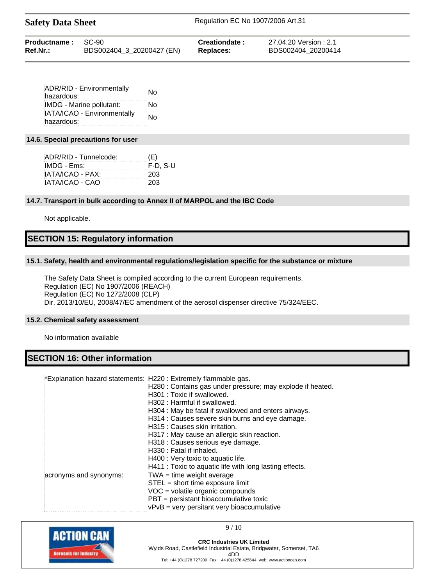| <b>Safety Data Sheet</b> | Regulation EC No 1907/2006 Art.31 |
|--------------------------|-----------------------------------|
|                          |                                   |

| <b>Productname: SC-90</b> |                           | Creationdate:    | 27.04.20 Version : 2.1 |
|---------------------------|---------------------------|------------------|------------------------|
| Ref.Nr.:                  | BDS002404_3_20200427 (EN) | <b>Replaces:</b> | BDS002404 20200414     |

| <b>ADR/RID - Environmentally</b> | No |
|----------------------------------|----|
| hazardous:                       |    |
| IMDG - Marine pollutant:         | N٥ |
| IATA/ICAO - Environmentally      | No |
| hazardous:                       |    |

# **14.6. Special precautions for user**

| ADR/RID - Tunnelcode: | (E)        |
|-----------------------|------------|
| IMDG - Ems:           | $F-D. S-U$ |
| IATA/ICAO - PAX:      | 203        |
| IATA/ICAO - CAO       | 203        |

#### **14.7. Transport in bulk according to Annex II of MARPOL and the IBC Code**

Not applicable.

# **SECTION 15: Regulatory information**

#### **15.1. Safety, health and environmental regulations/legislation specific for the substance or mixture**

The Safety Data Sheet is compiled according to the current European requirements. Regulation (EC) No 1907/2006 (REACH) Regulation (EC) No 1272/2008 (CLP) Dir. 2013/10/EU, 2008/47/EC amendment of the aerosol dispenser directive 75/324/EEC.

#### **15.2. Chemical safety assessment**

No information available

# **SECTION 16: Other information**

|                        | *Explanation hazard statements: H220 : Extremely flammable gas.<br>H280 : Contains gas under pressure; may explode if heated.<br>H301 : Toxic if swallowed.<br>H302 : Harmful if swallowed.<br>H304 : May be fatal if swallowed and enters airways.<br>H314 : Causes severe skin burns and eye damage.<br>H315 : Causes skin irritation.<br>H317 : May cause an allergic skin reaction.<br>H318 : Causes serious eye damage.<br>H330 : Fatal if inhaled.<br>H400 : Very toxic to aquatic life.<br>H411 : Toxic to aquatic life with long lasting effects. |
|------------------------|-----------------------------------------------------------------------------------------------------------------------------------------------------------------------------------------------------------------------------------------------------------------------------------------------------------------------------------------------------------------------------------------------------------------------------------------------------------------------------------------------------------------------------------------------------------|
| acronyms and synonyms: | $TWA = time weight average$<br>STEL = short time exposure limit<br>$VOC = volatile organic compounds$<br>PBT = persistant bioaccumulative toxic<br>$vPvB = very$ persitant very bioaccumulative                                                                                                                                                                                                                                                                                                                                                           |